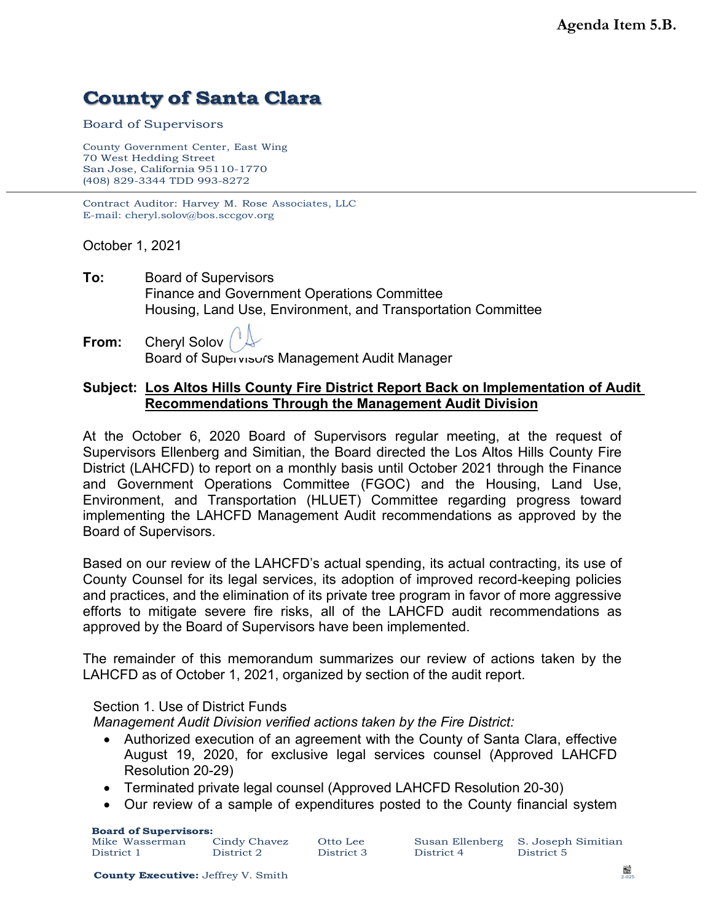## **County of Santa Clara**

Board of Supervisors

County Government Center, East Wing 70 West Hedding Street San Jose, California 95110-1770 (408) 829-3344 TDD 993-8272

Contract Auditor: Harvey M. Rose Associates, LLC E-mail: cheryl.solov@bos.sccgov.org

October 1, 2021

- **To:** Board of Supervisors Finance and Government Operations Committee Housing, Land Use, Environment, and Transportation Committee
- **From:** Cheryl Solov Board of Supervisors Management Audit Manager

## **Subject: Los Altos Hills County Fire District Report Back on Implementation of Audit Recommendations Through the Management Audit Division**

At the October 6, 2020 Board of Supervisors regular meeting, at the request of Supervisors Ellenberg and Simitian, the Board directed the Los Altos Hills County Fire District (LAHCFD) to report on a monthly basis until October 2021 through the Finance and Government Operations Committee (FGOC) and the Housing, Land Use, Environment, and Transportation (HLUET) Committee regarding progress toward implementing the LAHCFD Management Audit recommendations as approved by the Board of Supervisors.

Based on our review of the LAHCFD's actual spending, its actual contracting, its use of County Counsel for its legal services, its adoption of improved record-keeping policies and practices, and the elimination of its private tree program in favor of more aggressive efforts to mitigate severe fire risks, all of the LAHCFD audit recommendations as approved by the Board of Supervisors have been implemented.

The remainder of this memorandum summarizes our review of actions taken by the LAHCFD as of October 1, 2021, organized by section of the audit report.

Section 1. Use of District Funds

*Management Audit Division verified actions taken by the Fire District:*

- Authorized execution of an agreement with the County of Santa Clara, effective August 19, 2020, for exclusive legal services counsel (Approved LAHCFD Resolution 20-29)
- Terminated private legal counsel (Approved LAHCFD Resolution 20-30)
- Our review of a sample of expenditures posted to the County financial system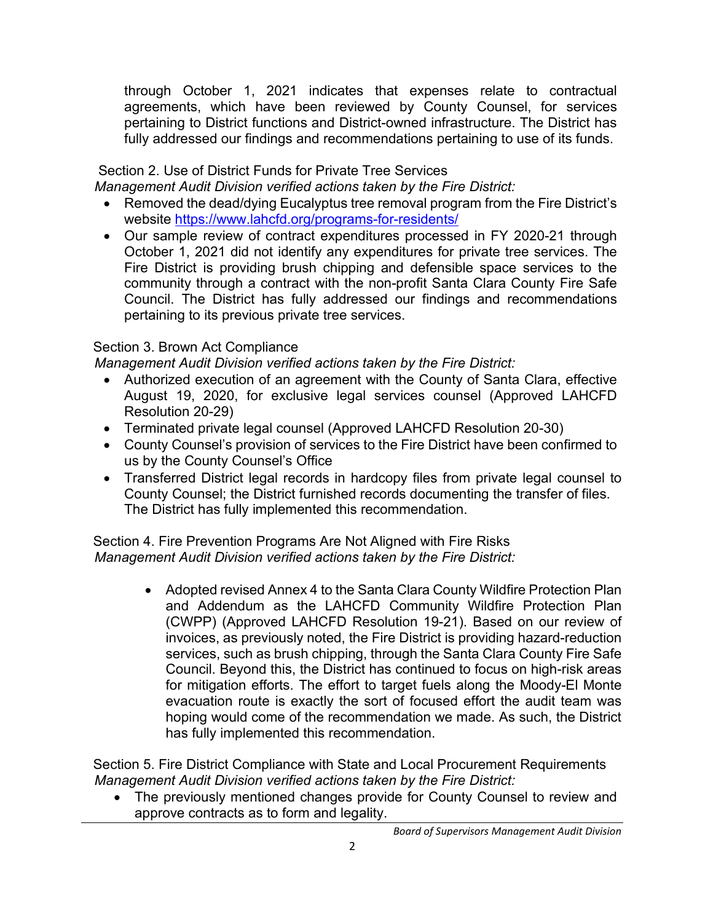through October 1, 2021 indicates that expenses relate to contractual agreements, which have been reviewed by County Counsel, for services pertaining to District functions and District-owned infrastructure. The District has fully addressed our findings and recommendations pertaining to use of its funds.

## Section 2. Use of District Funds for Private Tree Services

 *Management Audit Division verified actions taken by the Fire District:*

- Removed the dead/dying Eucalyptus tree removal program from the Fire District's website<https://www.lahcfd.org/programs-for-residents/>
- Our sample review of contract expenditures processed in FY 2020-21 through October 1, 2021 did not identify any expenditures for private tree services. The Fire District is providing brush chipping and defensible space services to the community through a contract with the non-profit Santa Clara County Fire Safe Council. The District has fully addressed our findings and recommendations pertaining to its previous private tree services.

## Section 3. Brown Act Compliance

 *Management Audit Division verified actions taken by the Fire District:*

- Authorized execution of an agreement with the County of Santa Clara, effective August 19, 2020, for exclusive legal services counsel (Approved LAHCFD Resolution 20-29)
- Terminated private legal counsel (Approved LAHCFD Resolution 20-30)
- County Counsel's provision of services to the Fire District have been confirmed to us by the County Counsel's Office
- Transferred District legal records in hardcopy files from private legal counsel to County Counsel; the District furnished records documenting the transfer of files. The District has fully implemented this recommendation.

Section 4. Fire Prevention Programs Are Not Aligned with Fire Risks  *Management Audit Division verified actions taken by the Fire District:*

> • Adopted revised Annex 4 to the Santa Clara County Wildfire Protection Plan and Addendum as the LAHCFD Community Wildfire Protection Plan (CWPP) (Approved LAHCFD Resolution 19-21). Based on our review of invoices, as previously noted, the Fire District is providing hazard-reduction services, such as brush chipping, through the Santa Clara County Fire Safe Council. Beyond this, the District has continued to focus on high-risk areas for mitigation efforts. The effort to target fuels along the Moody-El Monte evacuation route is exactly the sort of focused effort the audit team was hoping would come of the recommendation we made. As such, the District has fully implemented this recommendation.

Section 5. Fire District Compliance with State and Local Procurement Requirements  *Management Audit Division verified actions taken by the Fire District:*

• The previously mentioned changes provide for County Counsel to review and approve contracts as to form and legality.